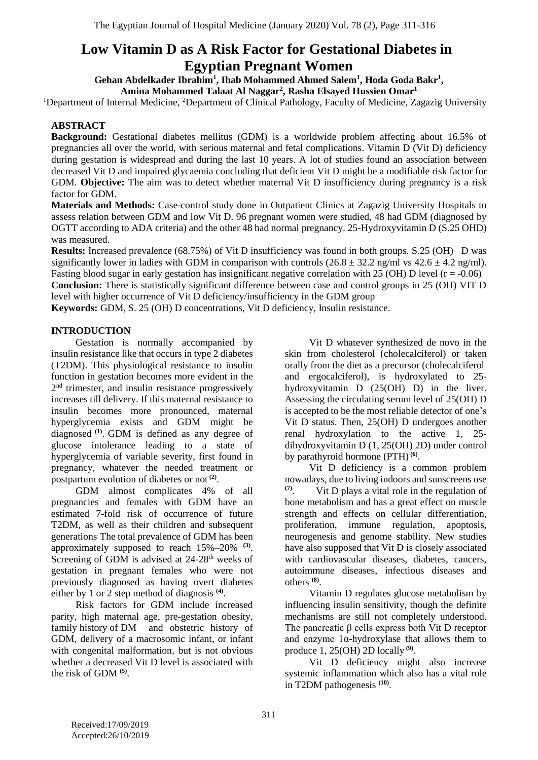# **Low Vitamin D as A Risk Factor for Gestational Diabetes in Egyptian Pregnant Women**

**Gehan Abdelkader Ibrahim<sup>1</sup> , Ihab Mohammed Ahmed Salem<sup>1</sup> , Hoda Goda Bakr<sup>1</sup> ,** 

**Amina Mohammed Talaat Al Naggar<sup>2</sup> , Rasha Elsayed Hussien Omar<sup>1</sup>**

<sup>1</sup>Department of Internal Medicine, <sup>2</sup>Department of Clinical Pathology, Faculty of Medicine, Zagazig University

## **ABSTRACT**

**Background:** Gestational diabetes mellitus (GDM) is a worldwide problem affecting about 16.5% of pregnancies all over the world, with serious maternal and fetal complications. Vitamin D (Vit D) deficiency during gestation is widespread and during the last 10 years. A lot of studies found an association between decreased Vit D and impaired glycaemia concluding that deficient Vit D might be a modifiable risk factor for GDM. **Objective:** The aim was to detect whether maternal Vit D insufficiency during pregnancy is a risk factor for GDM.

**Materials and Methods:** Case-control study done in Outpatient Clinics at Zagazig University Hospitals to assess relation between GDM and low Vit D. 96 pregnant women were studied, 48 had GDM (diagnosed by OGTT according to ADA criteria) and the other 48 had normal pregnancy. 25-Hydroxyvitamin D (S.25 OHD) was measured.

**Results:** Increased prevalence (68.75%) of Vit D insufficiency was found in both groups. S.25 (OH) D was significantly lower in ladies with GDM in comparison with controls  $(26.8 \pm 32.2 \text{ ng/ml vs } 42.6 \pm 4.2 \text{ ng/ml})$ . Fasting blood sugar in early gestation has insignificant negative correlation with 25 (OH) D level  $(r = -0.06)$ **Conclusion:** There is statistically significant difference between case and control groups in 25 (OH) VIT D level with higher occurrence of Vit D deficiency/insufficiency in the GDM group

**Keywords:** GDM, S. 25 (OH) D concentrations, Vit D deficiency, Insulin resistance.

### **INTRODUCTION**

Gestation is normally accompanied by insulin resistance like that occurs in type 2 diabetes (T2DM). This physiological resistance to insulin function in gestation becomes more evident in the 2<sup>nd</sup> trimester, and insulin resistance progressively increases till delivery. If this maternal resistance to insulin becomes more pronounced, maternal hyperglycemia exists and GDM might be diagnosed **(1)** . GDM is defined as any degree of glucose intolerance leading to a state of hyperglycemia of variable severity, first found in pregnancy, whatever the needed treatment or postpartum evolution of diabetes or not **(2)** .

GDM almost complicates 4% of all pregnancies and females with GDM have an estimated 7-fold risk of occurrence of future T2DM, as well as their children and subsequent generations. The total prevalence of GDM has been approximately supposed to reach 15%–20% **(3)** . Screening of GDM is advised at  $24-28$ <sup>th</sup> weeks of gestation in pregnant females who were not previously diagnosed as having overt diabetes either by 1 or 2 step method of diagnosis<sup>(4)</sup>.

Risk factors for GDM include increased parity, high maternal age, pre-gestation obesity, family history of DM and obstetric history of GDM, delivery of a macrosomic infant, or infant with congenital malformation, but is not obvious whether a decreased Vit D level is associated with the risk of GDM **(5)** .

Vit D whatever synthesized de novo in the skin from cholesterol (cholecalciferol) or taken orally from the diet as a precursor (cholecalciferol and ergocalciferol), is hydroxylated to 25 hydroxyvitamin D (25(OH) D) in the liver. Assessing the circulating serum level of 25(OH) D is accepted to be the most reliable detector of one's Vit D status. Then, 25(OH) D undergoes another renal hydroxylation to the active 1, 25 dihydroxyvitamin D (1, 25(OH) 2D) under control by parathyroid hormone (PTH)<sup>(6)</sup>.

Vit D deficiency is a common problem nowadays, due to living indoors and sunscreens use **(7)** . Vit D plays a vital role in the regulation of bone metabolism and has a great effect on muscle strength and effects on cellular differentiation, proliferation, immune regulation, apoptosis, neurogenesis and genome stability. New studies have also supposed that Vit D is closely associated with cardiovascular diseases, diabetes, cancers, autoimmune diseases, infectious diseases and others **(8)** .

Vitamin D regulates glucose metabolism by influencing insulin sensitivity, though the definite mechanisms are still not completely understood. The pancreatic β cells express both Vit D receptor and enzyme  $1\alpha$ -hydroxylase that allows them to produce 1, 25(OH) 2D locally **(9)** .

Vit D deficiency might also increase systemic inflammation which also has a vital role in T2DM pathogenesis **(10)** .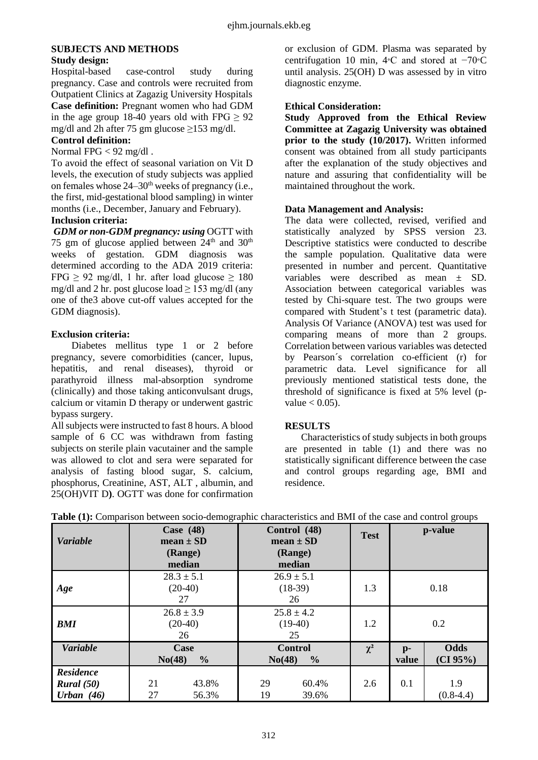# **SUBJECTS AND METHODS**

# **Study design:**

Hospital-based case-control study during pregnancy. Case and controls were recruited from Outpatient Clinics at Zagazig University Hospitals **Case definition:** Pregnant women who had GDM in the age group 18-40 years old with FPG  $\geq 92$ mg/dl and 2h after 75 gm glucose  $\geq$ 153 mg/dl.

# **Control definition:**

#### Normal FPG < 92 mg/dl .

To avoid the effect of seasonal variation on Vit D levels, the execution of study subjects was applied on females whose  $24-30<sup>th</sup>$  weeks of pregnancy (i.e., the first, mid-gestational blood sampling) in winter months (i.e., December, January and February).

### **Inclusion criteria:**

*GDM or non-GDM pregnancy: using* OGTT with 75 gm of glucose applied between  $24<sup>th</sup>$  and  $30<sup>th</sup>$ weeks of gestation. GDM diagnosis was determined according to the ADA 2019 criteria: FPG  $\geq$  92 mg/dl, 1 hr. after load glucose  $\geq$  180 mg/dl and 2 hr. post glucose load  $> 153$  mg/dl (any one of the3 above cut-off values accepted for the GDM diagnosis).

### **Exclusion criteria:**

Diabetes mellitus type 1 or 2 before pregnancy, severe comorbidities (cancer, lupus, hepatitis, and renal diseases), thyroid or parathyroid illness mal-absorption syndrome (clinically) and those taking anticonvulsant drugs, calcium or vitamin D therapy or underwent gastric bypass surgery.

All subjects were instructed to fast 8 hours. A blood sample of 6 CC was withdrawn from fasting subjects on sterile plain vacutainer and the sample was allowed to clot and sera were separated for analysis of fasting blood sugar, S. calcium, phosphorus, Creatinine, AST, ALT , albumin, and 25(OH)VIT D**)**. OGTT was done for confirmation or exclusion of GDM. Plasma was separated by centrifugation 10 min, 4∘C and stored at −70∘C until analysis. 25(OH) D was assessed by in vitro diagnostic enzyme.

### **Ethical Consideration:**

**Study Approved from the Ethical Review Committee at Zagazig University was obtained prior to the study (10/2017).** Written informed consent was obtained from all study participants after the explanation of the study objectives and nature and assuring that confidentiality will be maintained throughout the work.

### **Data Management and Analysis:**

The data were collected, revised, verified and statistically analyzed by SPSS version 23. Descriptive statistics were conducted to describe the sample population. Qualitative data were presented in number and percent. Quantitative variables were described as mean ± SD. Association between categorical variables was tested by Chi-square test. The two groups were compared with Student's t test (parametric data). Analysis Of Variance (ANOVA) test was used for comparing means of more than 2 groups. Correlation between various variables was detected by Pearson´s correlation co-efficient (r) for parametric data. Level significance for all previously mentioned statistical tests done, the threshold of significance is fixed at 5% level (pvalue  $< 0.05$ ).

### **RESULTS**

Characteristics of study subjects in both groups are presented in table (1) and there was no statistically significant difference between the case and control groups regarding age, BMI and residence.

| <b>Variable</b>                                |          | Case $(48)$<br>mean $\pm$ SD      |          | Control (48)<br>$mean \pm SD$             | <b>Test</b> |                       | p-value                 |
|------------------------------------------------|----------|-----------------------------------|----------|-------------------------------------------|-------------|-----------------------|-------------------------|
|                                                |          | (Range)<br>median                 |          | (Range)<br>median                         |             |                       |                         |
| Age                                            |          | $28.3 \pm 5.1$<br>$(20-40)$<br>27 |          | $26.9 \pm 5.1$<br>$(18-39)$<br>26         | 1.3         |                       | 0.18                    |
| <b>BMI</b>                                     |          | $26.8 \pm 3.9$<br>$(20-40)$<br>26 |          | $25.8 \pm 4.2$<br>$(19-40)$<br>25         | 1.2         |                       | 0.2                     |
| Variable                                       | No(48)   | Case<br>$\frac{0}{0}$             |          | <b>Control</b><br>$\frac{0}{0}$<br>No(48) | $\chi^2$    | $\mathbf{p}$<br>value | <b>Odds</b><br>(CI 95%) |
| <b>Residence</b><br>Rural (50)<br>Urban $(46)$ | 21<br>27 | 43.8%<br>56.3%                    | 29<br>19 | 60.4%<br>39.6%                            | 2.6         | 0.1                   | 1.9<br>$(0.8-4.4)$      |

| Table (1): Comparison between socio-demographic characteristics and BMI of the case and control groups |
|--------------------------------------------------------------------------------------------------------|
|--------------------------------------------------------------------------------------------------------|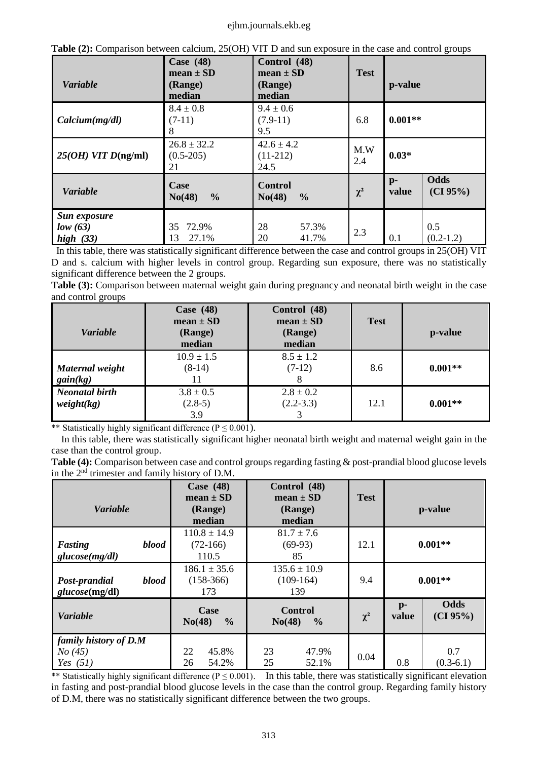#### ejhm.journals.ekb.eg

|  | Table (2): Comparison between calcium, 25(OH) VIT D and sun exposure in the case and control groups |
|--|-----------------------------------------------------------------------------------------------------|
|  |                                                                                                     |

| <b>Variable</b>                         | Case $(48)$<br>$mean \pm SD$<br>(Range)<br>median | Control (48)<br>$mean \pm SD$<br>(Range)<br>median | <b>Test</b> | p-value                           |
|-----------------------------------------|---------------------------------------------------|----------------------------------------------------|-------------|-----------------------------------|
| Calcium(mg/dl)                          | $8.4 \pm 0.8$<br>$(7-11)$<br>8                    | $9.4 \pm 0.6$<br>$(7.9-11)$<br>9.5                 | 6.8         | $0.001**$                         |
| $25(OH)$ VIT $D(ng/ml)$                 | $26.8 \pm 32.2$<br>$(0.5-205)$<br>21              | $42.6 \pm 4.2$<br>$(11-212)$<br>24.5               | M.W<br>2.4  | $0.03*$                           |
| <b>Variable</b>                         | Case<br>$\frac{6}{6}$<br>No(48)                   | <b>Control</b><br>No(48)<br>$\frac{6}{9}$          | $\chi^2$    | Odds<br>$p-$<br>(CI 95%)<br>value |
| Sun exposure<br>low (63)<br>high $(33)$ | 72.9%<br>35<br>27.1%<br>13                        | 28<br>57.3%<br>20<br>41.7%                         | 2.3         | 0.5<br>0.1<br>$(0.2-1.2)$         |

 In this table, there was statistically significant difference between the case and control groups in 25(OH) VIT D and s. calcium with higher levels in control group. Regarding sun exposure, there was no statistically significant difference between the 2 groups.

**Table (3):** Comparison between maternal weight gain during pregnancy and neonatal birth weight in the case and control groups

| <b>Variable</b>                     | Case $(48)$<br>$mean \pm SD$<br>(Range)<br>median | Control (48)<br>$mean \pm SD$<br>(Range)<br>median | <b>Test</b> | p-value   |
|-------------------------------------|---------------------------------------------------|----------------------------------------------------|-------------|-----------|
| Maternal weight<br>gain(kg)         | $10.9 \pm 1.5$<br>$(8-14)$                        | $8.5 \pm 1.2$<br>$(7-12)$                          | 8.6         | $0.001**$ |
| <b>Neonatal birth</b><br>weight(kg) | $3.8 \pm 0.5$<br>$(2.8-5)$<br>3.9                 | $2.8 \pm 0.2$<br>$(2.2 - 3.3)$                     | 12.1        | $0.001**$ |

\*\* Statistically highly significant difference ( $P \le 0.001$ ).

 In this table, there was statistically significant higher neonatal birth weight and maternal weight gain in the case than the control group.

**Table (4):** Comparison between case and control groups regarding fasting & post-prandial blood glucose levels in the 2nd trimester and family history of D.M.

| <b>Variable</b>                               |       | Case $(48)$<br>mean $\pm$ SD<br>(Range)<br>median | Control (48)<br>mean $\pm$ SD<br>(Range)<br>median | <b>Test</b> |                         | p-value                 |
|-----------------------------------------------|-------|---------------------------------------------------|----------------------------------------------------|-------------|-------------------------|-------------------------|
| Fasting<br>glucose(mg/dl)                     | blood | $110.8 \pm 14.9$<br>$(72-166)$<br>110.5           | $81.7 \pm 7.6$<br>$(69-93)$<br>85                  | 12.1        |                         | $0.001**$               |
| Post-prandial<br>glucose(mg/dl)               | blood | $186.1 \pm 35.6$<br>$(158-366)$<br>173            | $135.6 \pm 10.9$<br>$(109-164)$<br>139             | 9.4         |                         | $0.001**$               |
| <b>Variable</b>                               |       | Case<br>$\frac{0}{0}$<br>No(48)                   | <b>Control</b><br>No(48)<br>$\frac{6}{9}$          | $\chi^2$    | $\mathbf{p}$ -<br>value | <b>Odds</b><br>(CI 95%) |
| family history of D.M<br>No(45)<br>Yes $(51)$ |       | 22<br>45.8%<br>54.2%<br>26                        | 23<br>47.9%<br>25<br>52.1%                         | 0.04        | 0.8                     | 0.7<br>$(0.3-6.1)$      |

\*\* Statistically highly significant difference ( $P \le 0.001$ ). In this table, there was statistically significant elevation in fasting and post-prandial blood glucose levels in the case than the control group. Regarding family history of D.M, there was no statistically significant difference between the two groups.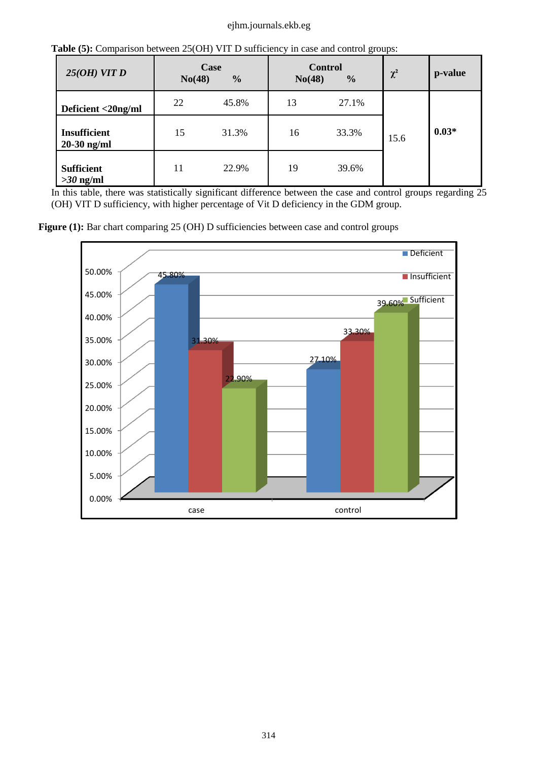#### ejhm.journals.ekb.eg

| 25(OH) VITD                          | No(48) | Case<br>$\frac{0}{0}$ | No(48) | $\circ$<br><b>Control</b><br>$\frac{0}{0}$ | $\chi^2$ | p-value |
|--------------------------------------|--------|-----------------------|--------|--------------------------------------------|----------|---------|
| Deficient <20ng/ml                   | 22     | 45.8%                 | 13     | 27.1%                                      |          |         |
| <b>Insufficient</b><br>$20-30$ ng/ml | 15     | 31.3%                 | 16     | 33.3%                                      | 15.6     | $0.03*$ |
| <b>Sufficient</b><br>$>30$ ng/ml     | 11     | 22.9%                 | 19     | 39.6%                                      |          |         |

**Table (5):** Comparison between 25(OH) VIT D sufficiency in case and control groups:

In this table, there was statistically significant difference between the case and control groups regarding 25 (OH) VIT D sufficiency, with higher percentage of Vit D deficiency in the GDM group.

Figure (1): Bar chart comparing 25 (OH) D sufficiencies between case and control groups

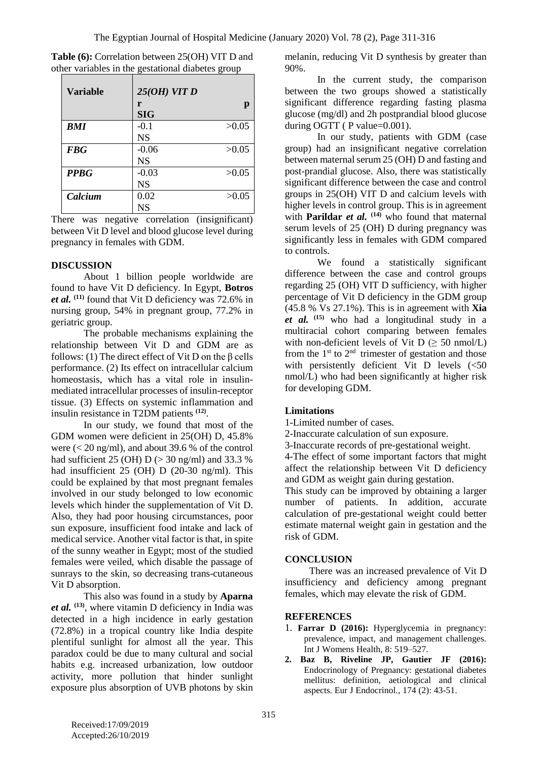| <b>Variable</b> | $25(OH)$ VIT D |       |
|-----------------|----------------|-------|
|                 | r              | p     |
|                 | <b>SIG</b>     |       |
| <b>BMI</b>      | $-0.1$         | >0.05 |
|                 | <b>NS</b>      |       |
| <b>FBG</b>      | $-0.06$        | >0.05 |
|                 | <b>NS</b>      |       |
| <b>PPBG</b>     | $-0.03$        | >0.05 |
|                 | <b>NS</b>      |       |
| Calcium         | 0.02           | >0.05 |
|                 | NS             |       |

**Table (6):** Correlation between 25(OH) VIT D and other variables in the gestational diabetes group

There was negative correlation (insignificant) between Vit D level and blood glucose level during pregnancy in females with GDM.

#### **DISCUSSION**

About 1 billion people worldwide are found to have Vit D deficiency. In Egypt, **Botros**  *et al.* **(11)** found that Vit D deficiency was 72.6% in nursing group, 54% in pregnant group, 77.2% in geriatric group.

The probable mechanisms explaining the relationship between Vit D and GDM are as follows: (1) The direct effect of Vit D on the  $\beta$  cells performance. (2) Its effect on intracellular calcium homeostasis, which has a vital role in insulinmediated intracellular processes of insulin-receptor tissue. (3) Effects on systemic inflammation and insulin resistance in T2DM patients **(12)** .

In our study, we found that most of the GDM women were deficient in 25(OH) D, 45.8% were  $\ll$  20 ng/ml), and about 39.6 % of the control had sufficient 25 (OH) D (> 30 ng/ml) and 33.3 % had insufficient 25 (OH) D (20-30 ng/ml). This could be explained by that most pregnant females involved in our study belonged to low economic levels which hinder the supplementation of Vit D. Also, they had poor housing circumstances, poor sun exposure, insufficient food intake and lack of medical service. Another vital factor is that, in spite of the sunny weather in Egypt; most of the studied females were veiled, which disable the passage of sunrays to the skin, so decreasing trans-cutaneous Vit D absorption.

This also was found in a study by **Aparna**  *et al.* **(13)**, where vitamin D deficiency in India was detected in a high incidence in early gestation (72.8%) in a tropical country like India despite plentiful sunlight for almost all the year. This paradox could be due to many cultural and social habits e.g. increased urbanization, low outdoor activity, more pollution that hinder sunlight exposure plus absorption of UVB photons by skin melanin, reducing Vit D synthesis by greater than 90%.

In the current study, the comparison between the two groups showed a statistically significant difference regarding fasting plasma glucose (mg/dl) and 2h postprandial blood glucose during OGTT (P value=0.001).

In our study, patients with GDM (case group) had an insignificant negative correlation between maternal serum 25 (OH) D and fasting and post-prandial glucose. Also, there was statistically significant difference between the case and control groups in 25(OH) VIT D and calcium levels with higher levels in control group. This is in agreement with **Parildar** *et al.*  $(14)$  who found that maternal serum levels of 25 (OH) D during pregnancy was significantly less in females with GDM compared to controls.

We found a statistically significant difference between the case and control groups regarding 25 (OH) VIT D sufficiency, with higher percentage of Vit D deficiency in the GDM group (45.8 % Vs 27.1%). This is in agreement with **Xia**  *et al.* **(15)** who had a longitudinal study in a multiracial cohort comparing between females with non-deficient levels of Vit  $D \geq 50$  nmol/L) from the  $1<sup>st</sup>$  to  $2<sup>nd</sup>$  trimester of gestation and those with persistently deficient Vit D levels (<50 nmol/L) who had been significantly at higher risk for developing GDM.

### **Limitations**

- 1-Limited number of cases.
- 2-Inaccurate calculation of sun exposure.
- 3-Inaccurate records of pre-gestational weight.

4-The effect of some important factors that might affect the relationship between Vit D deficiency and GDM as weight gain during gestation.

This study can be improved by obtaining a larger number of patients. In addition, accurate calculation of pre-gestational weight could better estimate maternal weight gain in gestation and the risk of GDM.

### **CONCLUSION**

There was an increased prevalence of Vit D insufficiency and deficiency among pregnant females, which may elevate the risk of GDM.

#### **REFERENCES**

- 1. **Farrar D (2016):** Hyperglycemia in pregnancy: prevalence, impact, and management challenges. Int J Womens Health, 8: 519–527.
- **2. Baz B, Riveline JP, Gautier JF (2016):** Endocrinology of Pregnancy: gestational diabetes mellitus: definition, aetiological and clinical aspects. Eur J Endocrinol., 174 (2): 43-51.